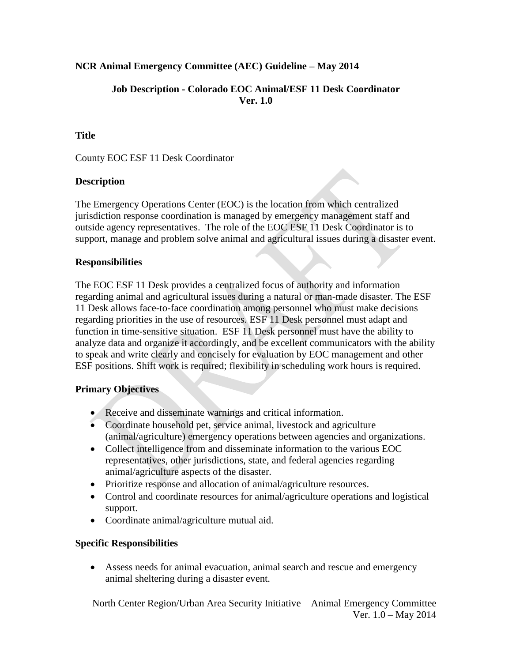## **NCR Animal Emergency Committee (AEC) Guideline – May 2014**

#### **Job Description - Colorado EOC Animal/ESF 11 Desk Coordinator Ver. 1.0**

### **Title**

County EOC ESF 11 Desk Coordinator

## **Description**

The Emergency Operations Center (EOC) is the location from which centralized jurisdiction response coordination is managed by emergency management staff and outside agency representatives. The role of the EOC ESF 11 Desk Coordinator is to support, manage and problem solve animal and agricultural issues during a disaster event.

## **Responsibilities**

The EOC ESF 11 Desk provides a centralized focus of authority and information regarding animal and agricultural issues during a natural or man-made disaster. The ESF 11 Desk allows face-to-face coordination among personnel who must make decisions regarding priorities in the use of resources. ESF 11 Desk personnel must adapt and function in time-sensitive situation. ESF 11 Desk personnel must have the ability to analyze data and organize it accordingly, and be excellent communicators with the ability to speak and write clearly and concisely for evaluation by EOC management and other ESF positions. Shift work is required; flexibility in scheduling work hours is required.

#### **Primary Objectives**

- Receive and disseminate warnings and critical information.
- Coordinate household pet, service animal, livestock and agriculture (animal/agriculture) emergency operations between agencies and organizations.
- Collect intelligence from and disseminate information to the various EOC representatives, other jurisdictions, state, and federal agencies regarding animal/agriculture aspects of the disaster.
- Prioritize response and allocation of animal/agriculture resources.
- Control and coordinate resources for animal/agriculture operations and logistical support.
- Coordinate animal/agriculture mutual aid.

#### **Specific Responsibilities**

 Assess needs for animal evacuation, animal search and rescue and emergency animal sheltering during a disaster event.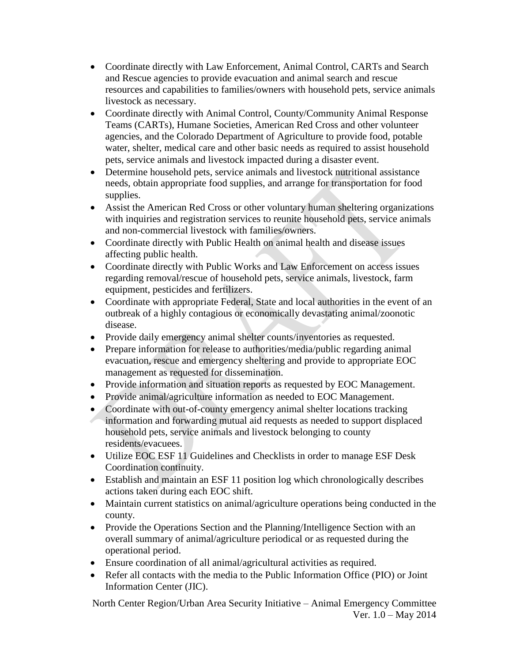- Coordinate directly with Law Enforcement, Animal Control, CARTs and Search and Rescue agencies to provide evacuation and animal search and rescue resources and capabilities to families/owners with household pets, service animals livestock as necessary.
- Coordinate directly with Animal Control, County/Community Animal Response Teams (CARTs), Humane Societies, American Red Cross and other volunteer agencies, and the Colorado Department of Agriculture to provide food, potable water, shelter, medical care and other basic needs as required to assist household pets, service animals and livestock impacted during a disaster event.
- Determine household pets, service animals and livestock nutritional assistance needs, obtain appropriate food supplies, and arrange for transportation for food supplies.
- Assist the American Red Cross or other voluntary human sheltering organizations with inquiries and registration services to reunite household pets, service animals and non-commercial livestock with families/owners.
- Coordinate directly with Public Health on animal health and disease issues affecting public health.
- Coordinate directly with Public Works and Law Enforcement on access issues regarding removal/rescue of household pets, service animals, livestock, farm equipment, pesticides and fertilizers.
- Coordinate with appropriate Federal, State and local authorities in the event of an outbreak of a highly contagious or economically devastating animal/zoonotic disease.
- Provide daily emergency animal shelter counts/inventories as requested.
- Prepare information for release to authorities/media/public regarding animal evacuation, rescue and emergency sheltering and provide to appropriate EOC management as requested for dissemination.
- Provide information and situation reports as requested by EOC Management.
- Provide animal/agriculture information as needed to EOC Management.
- Coordinate with out-of-county emergency animal shelter locations tracking
- information and forwarding mutual aid requests as needed to support displaced household pets, service animals and livestock belonging to county residents/evacuees.
- Utilize EOC ESF 11 Guidelines and Checklists in order to manage ESF Desk Coordination continuity.
- Establish and maintain an ESF 11 position log which chronologically describes actions taken during each EOC shift.
- Maintain current statistics on animal/agriculture operations being conducted in the county.
- Provide the Operations Section and the Planning/Intelligence Section with an overall summary of animal/agriculture periodical or as requested during the operational period.
- Ensure coordination of all animal/agricultural activities as required.
- Refer all contacts with the media to the Public Information Office (PIO) or Joint Information Center (JIC).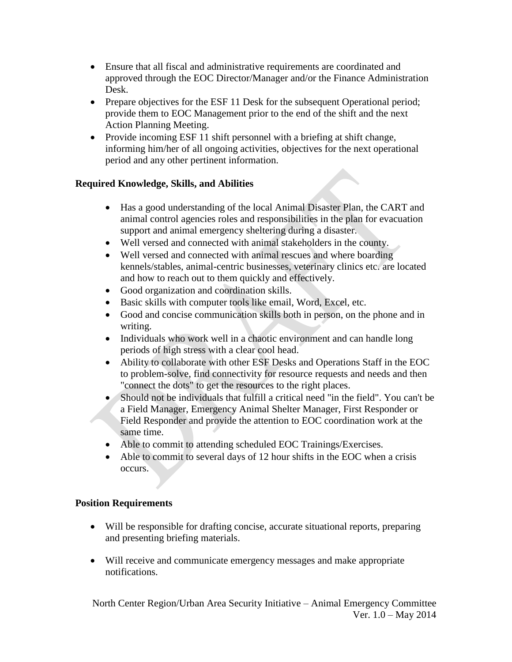- Ensure that all fiscal and administrative requirements are coordinated and approved through the EOC Director/Manager and/or the Finance Administration Desk.
- Prepare objectives for the ESF 11 Desk for the subsequent Operational period; provide them to EOC Management prior to the end of the shift and the next Action Planning Meeting.
- Provide incoming ESF 11 shift personnel with a briefing at shift change, informing him/her of all ongoing activities, objectives for the next operational period and any other pertinent information.

# **Required Knowledge, Skills, and Abilities**

- Has a good understanding of the local Animal Disaster Plan, the CART and animal control agencies roles and responsibilities in the plan for evacuation support and animal emergency sheltering during a disaster.
- Well versed and connected with animal stakeholders in the county.
- Well versed and connected with animal rescues and where boarding kennels/stables, animal-centric businesses, veterinary clinics etc. are located and how to reach out to them quickly and effectively.
- Good organization and coordination skills.
- Basic skills with computer tools like email, Word, Excel, etc.
- Good and concise communication skills both in person, on the phone and in writing.
- Individuals who work well in a chaotic environment and can handle long periods of high stress with a clear cool head.
- Ability to collaborate with other ESF Desks and Operations Staff in the EOC to problem-solve, find connectivity for resource requests and needs and then "connect the dots" to get the resources to the right places.
- Should not be individuals that fulfill a critical need "in the field". You can't be a Field Manager, Emergency Animal Shelter Manager, First Responder or Field Responder and provide the attention to EOC coordination work at the same time.
- Able to commit to attending scheduled EOC Trainings/Exercises.
- Able to commit to several days of 12 hour shifts in the EOC when a crisis occurs.

#### **Position Requirements**

- Will be responsible for drafting concise, accurate situational reports, preparing and presenting briefing materials.
- Will receive and communicate emergency messages and make appropriate notifications.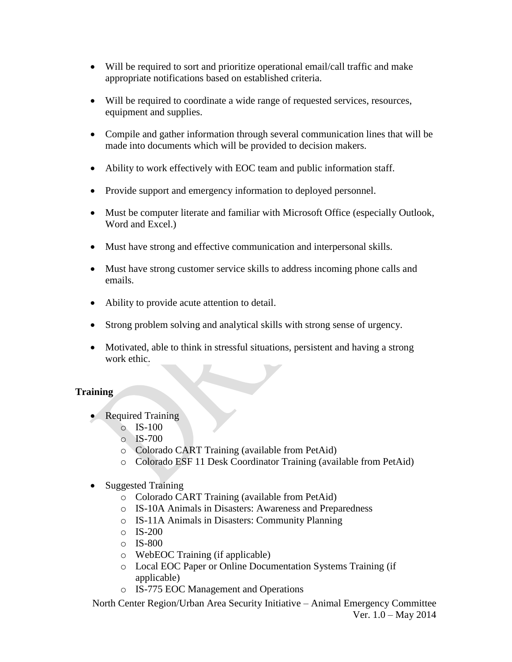- Will be required to sort and prioritize operational email/call traffic and make appropriate notifications based on established criteria.
- Will be required to coordinate a wide range of requested services, resources, equipment and supplies.
- Compile and gather information through several communication lines that will be made into documents which will be provided to decision makers.
- Ability to work effectively with EOC team and public information staff.
- Provide support and emergency information to deployed personnel.
- Must be computer literate and familiar with Microsoft Office (especially Outlook, Word and Excel.)
- Must have strong and effective communication and interpersonal skills.
- Must have strong customer service skills to address incoming phone calls and emails.
- Ability to provide acute attention to detail.
- Strong problem solving and analytical skills with strong sense of urgency.
- Motivated, able to think in stressful situations, persistent and having a strong work ethic.

#### **Training**

- Required Training
	- o IS-100
	- $\circ$  IS-700
	- o Colorado CART Training (available from PetAid)
	- o Colorado ESF 11 Desk Coordinator Training (available from PetAid)
- Suggested Training
	- o Colorado CART Training (available from PetAid)
	- o IS-10A Animals in Disasters: Awareness and Preparedness
	- o IS-11A Animals in Disasters: Community Planning
	- $\circ$  IS-200
	- o IS-800
	- o WebEOC Training (if applicable)
	- o Local EOC Paper or Online Documentation Systems Training (if applicable)
	- o IS-775 EOC Management and Operations